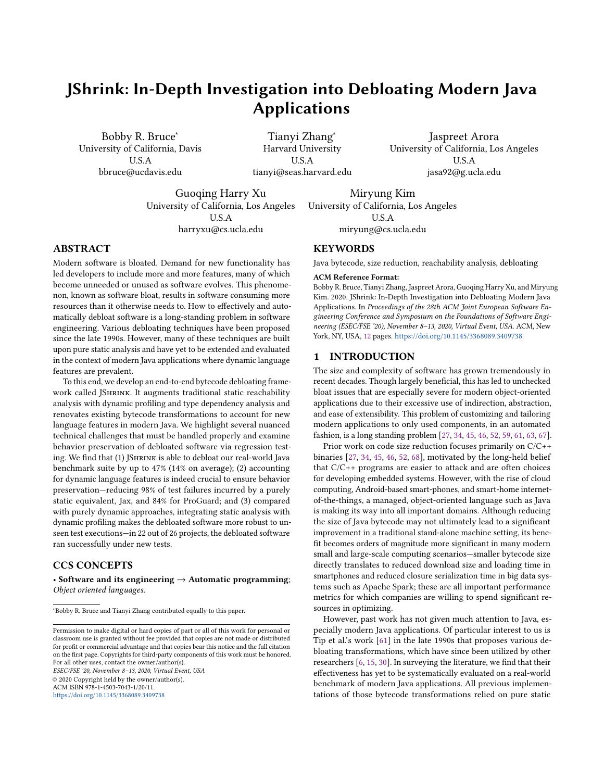# JShrink: In-Depth Investigation into Debloating Modern Java Applications

Bobby R. Bruce<sup>∗</sup> University of California, Davis U.S.A bbruce@ucdavis.edu

Tianyi Zhang<sup>∗</sup> Harvard University U.S.A tianyi@seas.harvard.edu

Jaspreet Arora University of California, Los Angeles U.S.A jasa92@g.ucla.edu

Guoqing Harry Xu University of California, Los Angeles U.S.A harryxu@cs.ucla.edu

Miryung Kim University of California, Los Angeles U.S.A miryung@cs.ucla.edu

# ABSTRACT

Modern software is bloated. Demand for new functionality has led developers to include more and more features, many of which become unneeded or unused as software evolves. This phenomenon, known as software bloat, results in software consuming more resources than it otherwise needs to. How to effectively and automatically debloat software is a long-standing problem in software engineering. Various debloating techniques have been proposed since the late 1990s. However, many of these techniques are built upon pure static analysis and have yet to be extended and evaluated in the context of modern Java applications where dynamic language features are prevalent.

To this end, we develop an end-to-end bytecode debloating framework called JShrink. It augments traditional static reachability analysis with dynamic profiling and type dependency analysis and renovates existing bytecode transformations to account for new language features in modern Java. We highlight several nuanced technical challenges that must be handled properly and examine behavior preservation of debloated software via regression testing. We find that (1) JShrink is able to debloat our real-world Java benchmark suite by up to 47% (14% on average); (2) accounting for dynamic language features is indeed crucial to ensure behavior preservation—reducing 98% of test failures incurred by a purely static equivalent, Jax, and 84% for ProGuard; and (3) compared with purely dynamic approaches, integrating static analysis with dynamic profiling makes the debloated software more robust to unseen test executions—in 22 out of 26 projects, the debloated software ran successfully under new tests.

# CCS CONCEPTS

• Software and its engineering  $\rightarrow$  Automatic programming; Object oriented languages.

<sup>∗</sup>Bobby R. Bruce and Tianyi Zhang contributed equally to this paper.

ESEC/FSE '20, November 8–13, 2020, Virtual Event, USA © 2020 Copyright held by the owner/author(s). ACM ISBN 978-1-4503-7043-1/20/11.

<https://doi.org/10.1145/3368089.3409738>

#### **KEYWORDS**

Java bytecode, size reduction, reachability analysis, debloating

#### ACM Reference Format:

Bobby R. Bruce, Tianyi Zhang, Jaspreet Arora, Guoqing Harry Xu, and Miryung Kim. 2020. JShrink: In-Depth Investigation into Debloating Modern Java Applications. In Proceedings of the 28th ACM Joint European Software Engineering Conference and Symposium on the Foundations of Software Engineering (ESEC/FSE '20), November 8–13, 2020, Virtual Event, USA. ACM, New York, NY, USA, [12](#page-11-0) pages. <https://doi.org/10.1145/3368089.3409738>

# 1 INTRODUCTION

The size and complexity of software has grown tremendously in recent decades. Though largely beneficial, this has led to unchecked bloat issues that are especially severe for modern object-oriented applications due to their excessive use of indirection, abstraction, and ease of extensibility. This problem of customizing and tailoring modern applications to only used components, in an automated fashion, is a long standing problem [\[27,](#page-10-0) [34,](#page-10-1) [45,](#page-11-1) [46,](#page-11-2) [52,](#page-11-3) [59,](#page-11-4) [61,](#page-11-5) [63,](#page-11-6) [67\]](#page-11-7).

Prior work on code size reduction focuses primarily on C/C++ binaries [\[27,](#page-10-0) [34,](#page-10-1) [45,](#page-11-1) [46,](#page-11-2) [52,](#page-11-3) [68\]](#page-11-8), motivated by the long-held belief that C/C++ programs are easier to attack and are often choices for developing embedded systems. However, with the rise of cloud computing, Android-based smart-phones, and smart-home internetof-the-things, a managed, object-oriented language such as Java is making its way into all important domains. Although reducing the size of Java bytecode may not ultimately lead to a significant improvement in a traditional stand-alone machine setting, its benefit becomes orders of magnitude more significant in many modern small and large-scale computing scenarios—smaller bytecode size directly translates to reduced download size and loading time in smartphones and reduced closure serialization time in big data systems such as Apache Spark; these are all important performance metrics for which companies are willing to spend significant resources in optimizing.

However, past work has not given much attention to Java, especially modern Java applications. Of particular interest to us is Tip et al.'s work [\[61\]](#page-11-5) in the late 1990s that proposes various debloating transformations, which have since been utilized by other researchers [\[6,](#page-10-2) [15,](#page-10-3) [30\]](#page-10-4). In surveying the literature, we find that their effectiveness has yet to be systematically evaluated on a real-world benchmark of modern Java applications. All previous implementations of those bytecode transformations relied on pure static

Permission to make digital or hard copies of part or all of this work for personal or classroom use is granted without fee provided that copies are not made or distributed for profit or commercial advantage and that copies bear this notice and the full citation on the first page. Copyrights for third-party components of this work must be honored. For all other uses, contact the owner/author(s).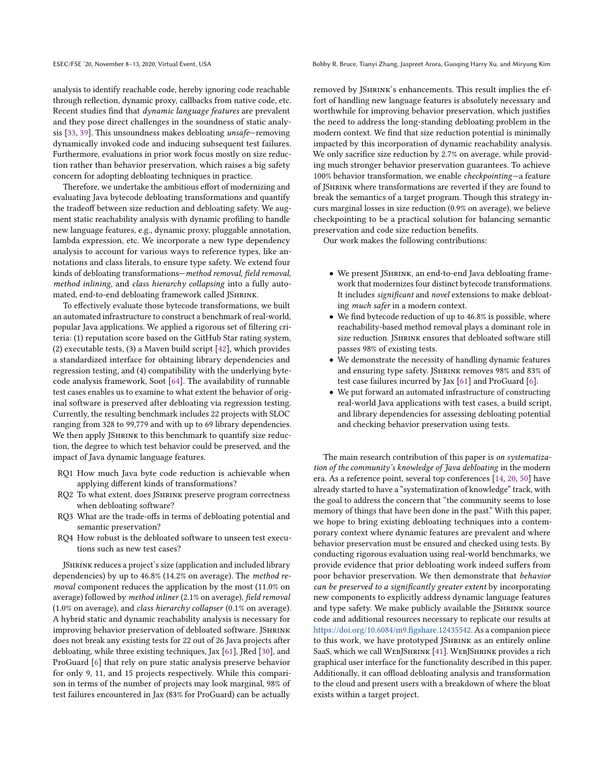analysis to identify reachable code, hereby ignoring code reachable through reflection, dynamic proxy, callbacks from native code, etc. Recent studies find that dynamic language features are prevalent and they pose direct challenges in the soundness of static analysis [\[33,](#page-10-5) [39\]](#page-10-6). This unsoundness makes debloating unsafe—removing dynamically invoked code and inducing subsequent test failures. Furthermore, evaluations in prior work focus mostly on size reduction rather than behavior preservation, which raises a big safety concern for adopting debloating techniques in practice.

Therefore, we undertake the ambitious effort of modernizing and evaluating Java bytecode debloating transformations and quantify the tradeoff between size reduction and debloating safety. We augment static reachability analysis with dynamic profiling to handle new language features, e.g., dynamic proxy, pluggable annotation, lambda expression, etc. We incorporate a new type dependency analysis to account for various ways to reference types, like annotations and class literals, to ensure type safety. We extend four kinds of debloating transformations—method removal, field removal, method inlining, and class hierarchy collapsing into a fully automated, end-to-end debloating framework called JSHRINK.

To effectively evaluate those bytecode transformations, we built an automated infrastructure to construct a benchmark of real-world, popular Java applications. We applied a rigorous set of filtering criteria: (1) reputation score based on the GitHub Star rating system, (2) executable tests, (3) a Maven build script [\[42\]](#page-10-7), which provides a standardized interface for obtaining library dependencies and regression testing, and (4) compatibility with the underlying bytecode analysis framework, Soot [\[64\]](#page-11-9). The availability of runnable test cases enables us to examine to what extent the behavior of original software is preserved after debloating via regression testing. Currently, the resulting benchmark includes 22 projects with SLOC ranging from 328 to 99,779 and with up to 69 library dependencies. We then apply JSHRINK to this benchmark to quantify size reduction, the degree to which test behavior could be preserved, and the impact of Java dynamic language features.

- RQ1 How much Java byte code reduction is achievable when applying different kinds of transformations?
- RQ2 To what extent, does JShrink preserve program correctness when debloating software?
- RQ3 What are the trade-offs in terms of debloating potential and semantic preservation?
- RQ4 How robust is the debloated software to unseen test executions such as new test cases?

JSHRINK reduces a project's size (application and included library dependencies) by up to 46.8% (14.2% on average). The method removal component reduces the application by the most (11.0% on average) followed by method inliner (2.1% on average), field removal (1.0% on average), and class hierarchy collapser (0.1% on average). A hybrid static and dynamic reachability analysis is necessary for improving behavior preservation of debloated software. JSHRINK does not break any existing tests for 22 out of 26 Java projects after debloating, while three existing techniques, Jax [\[61\]](#page-11-5), JRed [\[30\]](#page-10-4), and ProGuard [\[6\]](#page-10-2) that rely on pure static analysis preserve behavior for only 9, 11, and 15 projects respectively. While this comparison in terms of the number of projects may look marginal, 98% of test failures encountered in Jax (83% for ProGuard) can be actually

removed by JShrink's enhancements. This result implies the effort of handling new language features is absolutely necessary and worthwhile for improving behavior preservation, which justifies the need to address the long-standing debloating problem in the modern context. We find that size reduction potential is minimally impacted by this incorporation of dynamic reachability analysis. We only sacrifice size reduction by 2.7% on average, while providing much stronger behavior preservation guarantees. To achieve 100% behavior transformation, we enable checkpointing—a feature of JShrink where transformations are reverted if they are found to break the semantics of a target program. Though this strategy incurs marginal losses in size reduction (0.9% on average), we believe checkpointing to be a practical solution for balancing semantic preservation and code size reduction benefits.

Our work makes the following contributions:

- We present JSHRINK, an end-to-end Java debloating framework that modernizes four distinct bytecode transformations. It includes significant and novel extensions to make debloating much safer in a modern context.
- We find bytecode reduction of up to 46.8% is possible, where reachability-based method removal plays a dominant role in size reduction. JSHRINK ensures that debloated software still passes 98% of existing tests.
- We demonstrate the necessity of handling dynamic features and ensuring type safety. JShrink removes 98% and 83% of test case failures incurred by Jax [\[61\]](#page-11-5) and ProGuard [\[6\]](#page-10-2).
- We put forward an automated infrastructure of constructing real-world Java applications with test cases, a build script, and library dependencies for assessing debloating potential and checking behavior preservation using tests.

The main research contribution of this paper is on systematization of the community's knowledge of Java debloating in the modern era. As a reference point, several top conferences [\[14,](#page-10-8) [20,](#page-10-9) [50\]](#page-11-10) have already started to have a "systematization of knowledge" track, with the goal to address the concern that "the community seems to lose memory of things that have been done in the past." With this paper, we hope to bring existing debloating techniques into a contemporary context where dynamic features are prevalent and where behavior preservation must be ensured and checked using tests. By conducting rigorous evaluation using real-world benchmarks, we provide evidence that prior debloating work indeed suffers from poor behavior preservation. We then demonstrate that behavior can be preserved to a significantly greater extent by incorporating new components to explicitly address dynamic language features and type safety. We make publicly available the JSHRINK source code and additional resources necessary to replicate our results at [https://doi.org/10.6084/m9.figshare.12435542.](https://doi.org/10.6084/m9.figshare.12435542) As a companion piece to this work, we have prototyped JShrink as an entirely online SaaS, which we call WEBJSHRINK [\[41\]](#page-10-10). WEBJSHRINK provides a rich graphical user interface for the functionality described in this paper. Additionally, it can offload debloating analysis and transformation to the cloud and present users with a breakdown of where the bloat exists within a target project.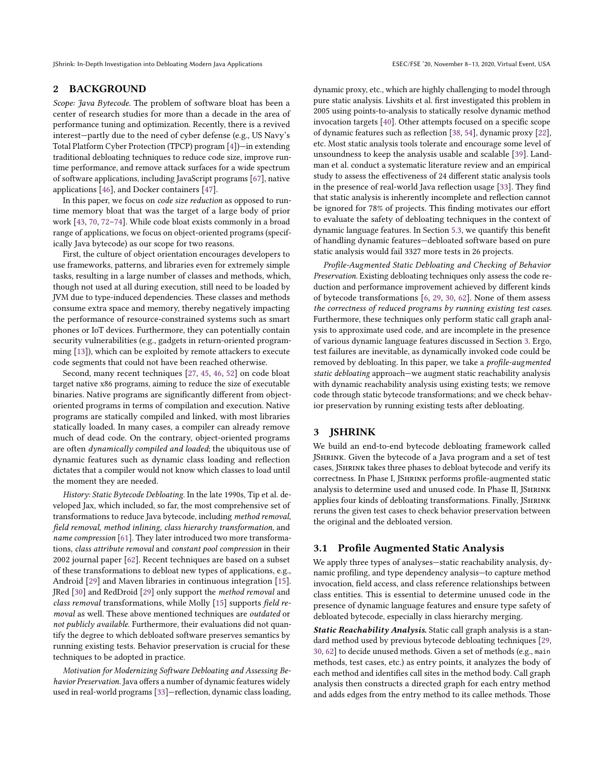JShrink: In-Depth Investigation into Debloating Modern Java Applications ESEC/FSE '20, November 8–13, 2020, Virtual Event, USA

# 2 BACKGROUND

Scope: Java Bytecode. The problem of software bloat has been a center of research studies for more than a decade in the area of performance tuning and optimization. Recently, there is a revived interest—partly due to the need of cyber defense (e.g., US Navy's Total Platform Cyber Protection (TPCP) program [\[4\]](#page-10-11))—in extending traditional debloating techniques to reduce code size, improve runtime performance, and remove attack surfaces for a wide spectrum of software applications, including JavaScript programs [\[67\]](#page-11-7), native applications [\[46\]](#page-11-2), and Docker containers [\[47\]](#page-11-11).

In this paper, we focus on code size reduction as opposed to runtime memory bloat that was the target of a large body of prior work [\[43,](#page-10-12) [70,](#page-11-12) [72–](#page-11-13)[74\]](#page-11-14). While code bloat exists commonly in a broad range of applications, we focus on object-oriented programs (specifically Java bytecode) as our scope for two reasons.

First, the culture of object orientation encourages developers to use frameworks, patterns, and libraries even for extremely simple tasks, resulting in a large number of classes and methods, which, though not used at all during execution, still need to be loaded by JVM due to type-induced dependencies. These classes and methods consume extra space and memory, thereby negatively impacting the performance of resource-constrained systems such as smart phones or IoT devices. Furthermore, they can potentially contain security vulnerabilities (e.g., gadgets in return-oriented programming [\[13\]](#page-10-13)), which can be exploited by remote attackers to execute code segments that could not have been reached otherwise.

Second, many recent techniques [\[27,](#page-10-0) [45,](#page-11-1) [46,](#page-11-2) [52\]](#page-11-3) on code bloat target native x86 programs, aiming to reduce the size of executable binaries. Native programs are significantly different from objectoriented programs in terms of compilation and execution. Native programs are statically compiled and linked, with most libraries statically loaded. In many cases, a compiler can already remove much of dead code. On the contrary, object-oriented programs are often dynamically compiled and loaded; the ubiquitous use of dynamic features such as dynamic class loading and reflection dictates that a compiler would not know which classes to load until the moment they are needed.

History: Static Bytecode Debloating. In the late 1990s, Tip et al. developed Jax, which included, so far, the most comprehensive set of transformations to reduce Java bytecode, including method removal, field removal, method inlining, class hierarchy transformation, and name compression [\[61\]](#page-11-5). They later introduced two more transformations, class attribute removal and constant pool compression in their 2002 journal paper [\[62\]](#page-11-15). Recent techniques are based on a subset of these transformations to debloat new types of applications, e.g., Android [\[29\]](#page-10-14) and Maven libraries in continuous integration [\[15\]](#page-10-3). JRed [\[30\]](#page-10-4) and RedDroid [\[29\]](#page-10-14) only support the method removal and class removal transformations, while Molly [\[15\]](#page-10-3) supports field removal as well. These above mentioned techniques are outdated or not publicly available. Furthermore, their evaluations did not quantify the degree to which debloated software preserves semantics by running existing tests. Behavior preservation is crucial for these techniques to be adopted in practice.

Motivation for Modernizing Software Debloating and Assessing Behavior Preservation. Java offers a number of dynamic features widely used in real-world programs [\[33\]](#page-10-5)—reflection, dynamic class loading,

dynamic proxy, etc., which are highly challenging to model through pure static analysis. Livshits et al. first investigated this problem in 2005 using points-to-analysis to statically resolve dynamic method invocation targets [\[40\]](#page-10-15). Other attempts focused on a specific scope of dynamic features such as reflection [\[38,](#page-10-16) [54\]](#page-11-16), dynamic proxy [\[22\]](#page-10-17), etc. Most static analysis tools tolerate and encourage some level of unsoundness to keep the analysis usable and scalable [\[39\]](#page-10-6). Landman et al. conduct a systematic literature review and an empirical study to assess the effectiveness of 24 different static analysis tools in the presence of real-world Java reflection usage [\[33\]](#page-10-5). They find that static analysis is inherently incomplete and reflection cannot be ignored for 78% of projects. This finding motivates our effort to evaluate the safety of debloating techniques in the context of dynamic language features. In Section [5.3,](#page-6-0) we quantify this benefit of handling dynamic features—debloated software based on pure static analysis would fail 3327 more tests in 26 projects.

Profile-Augmented Static Debloating and Checking of Behavior Preservation. Existing debloating techniques only assess the code reduction and performance improvement achieved by different kinds of bytecode transformations [\[6,](#page-10-2) [29,](#page-10-14) [30,](#page-10-4) [62\]](#page-11-15). None of them assess the correctness of reduced programs by running existing test cases. Furthermore, these techniques only perform static call graph analysis to approximate used code, and are incomplete in the presence of various dynamic language features discussed in Section [3.](#page-2-0) Ergo, test failures are inevitable, as dynamically invoked code could be removed by debloating. In this paper, we take a profile-augmented static debloating approach—we augment static reachability analysis with dynamic reachability analysis using existing tests; we remove code through static bytecode transformations; and we check behavior preservation by running existing tests after debloating.

# <span id="page-2-0"></span>3 JSHRINK

We build an end-to-end bytecode debloating framework called JShrink. Given the bytecode of a Java program and a set of test cases, JShrink takes three phases to debloat bytecode and verify its correctness. In Phase I, JShrink performs profile-augmented static analysis to determine used and unused code. In Phase II, JSHRINK applies four kinds of debloating transformations. Finally, JSHRINK reruns the given test cases to check behavior preservation between the original and the debloated version.

# <span id="page-2-1"></span>3.1 Profile Augmented Static Analysis

We apply three types of analyses—static reachability analysis, dynamic profiling, and type dependency analysis—to capture method invocation, field access, and class reference relationships between class entities. This is essential to determine unused code in the presence of dynamic language features and ensure type safety of debloated bytecode, especially in class hierarchy merging.

Static Reachability Analysis. Static call graph analysis is a standard method used by previous bytecode debloating techniques [\[29,](#page-10-14) [30,](#page-10-4) [62\]](#page-11-15) to decide unused methods. Given a set of methods (e.g., main methods, test cases, etc.) as entry points, it analyzes the body of each method and identifies call sites in the method body. Call graph analysis then constructs a directed graph for each entry method and adds edges from the entry method to its callee methods. Those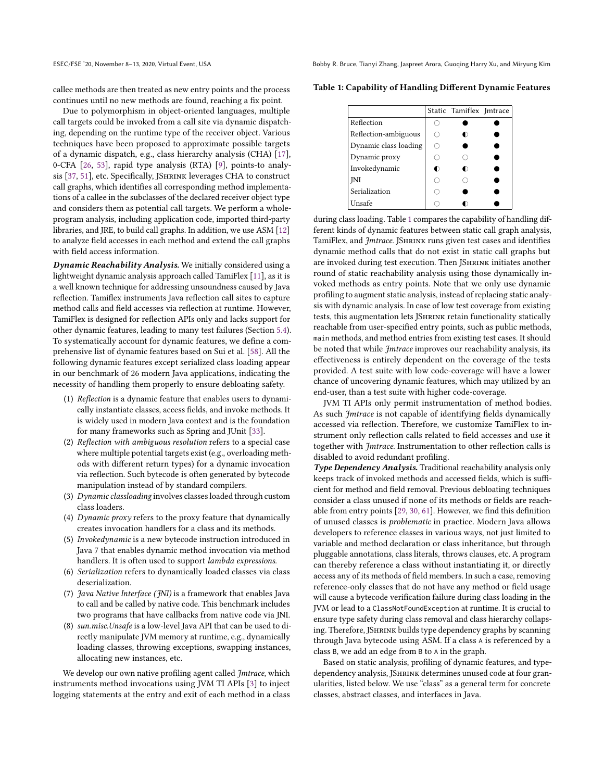callee methods are then treated as new entry points and the process continues until no new methods are found, reaching a fix point.

Due to polymorphism in object-oriented languages, multiple call targets could be invoked from a call site via dynamic dispatching, depending on the runtime type of the receiver object. Various techniques have been proposed to approximate possible targets of a dynamic dispatch, e.g., class hierarchy analysis (CHA) [\[17\]](#page-10-18), 0-CFA [\[26,](#page-10-19) [53\]](#page-11-17), rapid type analysis (RTA) [\[9\]](#page-10-20), points-to analy-sis [\[37,](#page-10-21) [51\]](#page-11-18), etc. Specifically, JSHRINK leverages CHA to construct call graphs, which identifies all corresponding method implementations of a callee in the subclasses of the declared receiver object type and considers them as potential call targets. We perform a wholeprogram analysis, including application code, imported third-party libraries, and JRE, to build call graphs. In addition, we use ASM [\[12\]](#page-10-22) to analyze field accesses in each method and extend the call graphs with field access information.

Dynamic Reachability Analysis. We initially considered using a lightweight dynamic analysis approach called TamiFlex [\[11\]](#page-10-23), as it is a well known technique for addressing unsoundness caused by Java reflection. Tamiflex instruments Java reflection call sites to capture method calls and field accesses via reflection at runtime. However, TamiFlex is designed for reflection APIs only and lacks support for other dynamic features, leading to many test failures (Section [5.4\)](#page-7-0). To systematically account for dynamic features, we define a comprehensive list of dynamic features based on Sui et al. [\[58\]](#page-11-19). All the following dynamic features except serialized class loading appear in our benchmark of 26 modern Java applications, indicating the necessity of handling them properly to ensure debloating safety.

- (1) Reflection is a dynamic feature that enables users to dynamically instantiate classes, access fields, and invoke methods. It is widely used in modern Java context and is the foundation for many frameworks such as Spring and JUnit [\[33\]](#page-10-5).
- (2) Reflection with ambiguous resolution refers to a special case where multiple potential targets exist (e.g., overloading methods with different return types) for a dynamic invocation via reflection. Such bytecode is often generated by bytecode manipulation instead of by standard compilers.
- (3) Dynamic classloading involves classes loaded through custom class loaders.
- (4) Dynamic proxy refers to the proxy feature that dynamically creates invocation handlers for a class and its methods.
- (5) Invokedynamic is a new bytecode instruction introduced in Java 7 that enables dynamic method invocation via method handlers. It is often used to support lambda expressions.
- (6) Serialization refers to dynamically loaded classes via class deserialization.
- (7)  $\frac{7}{7}$  *Java Native Interface* ( $\frac{7}{1}$ ) is a framework that enables Java to call and be called by native code. This benchmark includes two programs that have callbacks from native code via JNI.
- (8) sun.misc.Unsafe is a low-level Java API that can be used to directly manipulate JVM memory at runtime, e.g., dynamically loading classes, throwing exceptions, swapping instances, allocating new instances, etc.

We develop our own native profiling agent called *Jmtrace*, which instruments method invocations using JVM TI APIs [\[3\]](#page-10-24) to inject logging statements at the entry and exit of each method in a class

ESEC/FSE '20, November 8–13, 2020, Virtual Event, USA Bobby R. Bruce, Tianyi Zhang, Jaspreet Arora, Guoqing Harry Xu, and Miryung Kim

<span id="page-3-0"></span>Table 1: Capability of Handling Different Dynamic Features

|                       | Static Tamiflex Imtrace |  |
|-----------------------|-------------------------|--|
| Reflection            |                         |  |
| Reflection-ambiguous  | ∩                       |  |
| Dynamic class loading |                         |  |
| Dynamic proxy         |                         |  |
| Invokedynamic         | ∩                       |  |
| INI                   |                         |  |
| Serialization         |                         |  |
| Unsafe                |                         |  |

during class loading. Table [1](#page-3-0) compares the capability of handling different kinds of dynamic features between static call graph analysis, TamiFlex, and Jmtrace. JSHRINK runs given test cases and identifies dynamic method calls that do not exist in static call graphs but are invoked during test execution. Then JSHRINK initiates another round of static reachability analysis using those dynamically invoked methods as entry points. Note that we only use dynamic profiling to augment static analysis, instead of replacing static analysis with dynamic analysis. In case of low test coverage from existing tests, this augmentation lets JSHRINK retain functionality statically reachable from user-specified entry points, such as public methods, main methods, and method entries from existing test cases. It should be noted that while Jmtrace improves our reachability analysis, its effectiveness is entirely dependent on the coverage of the tests provided. A test suite with low code-coverage will have a lower chance of uncovering dynamic features, which may utilized by an end-user, than a test suite with higher code-coverage.

JVM TI APIs only permit instrumentation of method bodies. As such Jmtrace is not capable of identifying fields dynamically accessed via reflection. Therefore, we customize TamiFlex to instrument only reflection calls related to field accesses and use it together with Jmtrace. Instrumentation to other reflection calls is disabled to avoid redundant profiling.

Type Dependency Analysis. Traditional reachability analysis only keeps track of invoked methods and accessed fields, which is sufficient for method and field removal. Previous debloating techniques consider a class unused if none of its methods or fields are reachable from entry points [\[29,](#page-10-14) [30,](#page-10-4) [61\]](#page-11-5). However, we find this definition of unused classes is problematic in practice. Modern Java allows developers to reference classes in various ways, not just limited to variable and method declaration or class inheritance, but through pluggable annotations, class literals, throws clauses, etc. A program can thereby reference a class without instantiating it, or directly access any of its methods of field members. In such a case, removing reference-only classes that do not have any method or field usage will cause a bytecode verification failure during class loading in the JVM or lead to a ClassNotFoundException at runtime. It is crucial to ensure type safety during class removal and class hierarchy collapsing. Therefore, JShrink builds type dependency graphs by scanning through Java bytecode using ASM. If a class A is referenced by a class B, we add an edge from B to A in the graph.

Based on static analysis, profiling of dynamic features, and typedependency analysis, JSHRINK determines unused code at four granularities, listed below. We use "class" as a general term for concrete classes, abstract classes, and interfaces in Java.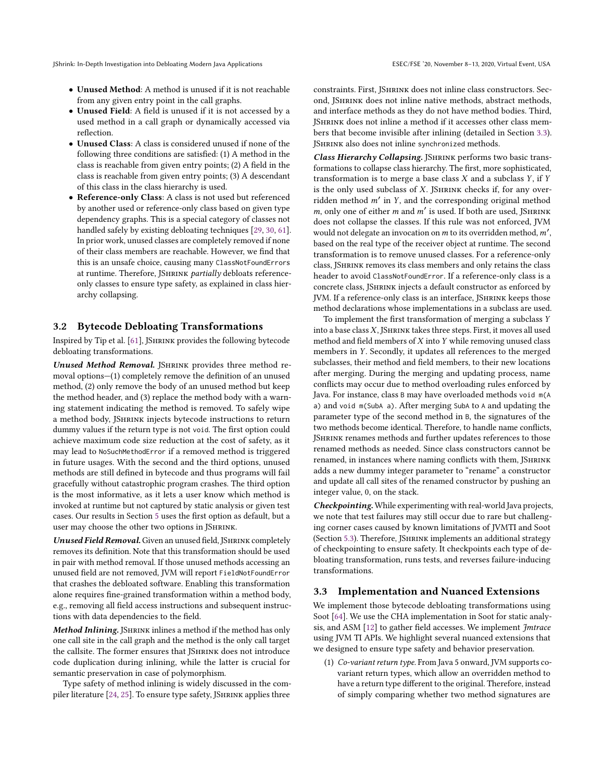- Unused Method: A method is unused if it is not reachable from any given entry point in the call graphs.
- Unused Field: A field is unused if it is not accessed by a used method in a call graph or dynamically accessed via reflection.
- Unused Class: A class is considered unused if none of the following three conditions are satisfied: (1) A method in the class is reachable from given entry points; (2) A field in the class is reachable from given entry points; (3) A descendant of this class in the class hierarchy is used.
- Reference-only Class: A class is not used but referenced by another used or reference-only class based on given type dependency graphs. This is a special category of classes not handled safely by existing debloating techniques [\[29,](#page-10-14) [30,](#page-10-4) [61\]](#page-11-5). In prior work, unused classes are completely removed if none of their class members are reachable. However, we find that this is an unsafe choice, causing many ClassNotFoundErrors at runtime. Therefore, JSHRINK partially debloats referenceonly classes to ensure type safety, as explained in class hierarchy collapsing.

# 3.2 Bytecode Debloating Transformations

Inspired by Tip et al. [\[61\]](#page-11-5), JShrink provides the following bytecode debloating transformations.

Unused Method Removal. JShrink provides three method removal options—(1) completely remove the definition of an unused method, (2) only remove the body of an unused method but keep the method header, and (3) replace the method body with a warning statement indicating the method is removed. To safely wipe a method body, JShrink injects bytecode instructions to return dummy values if the return type is not void. The first option could achieve maximum code size reduction at the cost of safety, as it may lead to NoSuchMethodError if a removed method is triggered in future usages. With the second and the third options, unused methods are still defined in bytecode and thus programs will fail gracefully without catastrophic program crashes. The third option is the most informative, as it lets a user know which method is invoked at runtime but not captured by static analysis or given test cases. Our results in Section [5](#page-6-1) uses the first option as default, but a user may choose the other two options in JSHRINK.

Unused Field Removal. Given an unused field, JSHRINK completely removes its definition. Note that this transformation should be used in pair with method removal. If those unused methods accessing an unused field are not removed, JVM will report FieldNotFoundError that crashes the debloated software. Enabling this transformation alone requires fine-grained transformation within a method body, e.g., removing all field access instructions and subsequent instructions with data dependencies to the field.

Method Inlining. JSHRINK inlines a method if the method has only one call site in the call graph and the method is the only call target the callsite. The former ensures that JSHRINK does not introduce code duplication during inlining, while the latter is crucial for semantic preservation in case of polymorphism.

Type safety of method inlining is widely discussed in the com-piler literature [\[24,](#page-10-25) [25\]](#page-10-26). To ensure type safety, JSHRINK applies three

constraints. First, JShrink does not inline class constructors. Second, JShrink does not inline native methods, abstract methods, and interface methods as they do not have method bodies. Third, JShrink does not inline a method if it accesses other class members that become invisible after inlining (detailed in Section [3.3\)](#page-4-0). JSHRINK also does not inline synchronized methods.

Class Hierarchy Collapsing. JSHRINK performs two basic transformations to collapse class hierarchy. The first, more sophisticated, transformation is to merge a base class  $X$  and a subclass  $Y$ , if  $Y$ is the only used subclass of  $X$ . JSHRINK checks if, for any overridden method m′ in Y, and the corresponding original method  $m$ , only one of either  $m$  and  $m'$  is used. If both are used, JSHRINK does not collapse the classes. If this rule was not enforced, JVM would not delegate an invocation on  $m$  to its overridden method,  $m'$ , based on the real type of the receiver object at runtime. The second transformation is to remove unused classes. For a reference-only class, JShrink removes its class members and only retains the class header to avoid ClassNotFoundError. If a reference-only class is a concrete class, JShrink injects a default constructor as enforced by JVM. If a reference-only class is an interface, JSHRINK keeps those method declarations whose implementations in a subclass are used.

To implement the first transformation of merging a subclass Y into a base class  $X$ , JSHRINK takes three steps. First, it moves all used method and field members of  $X$  into  $Y$  while removing unused class members in Y. Secondly, it updates all references to the merged subclasses, their method and field members, to their new locations after merging. During the merging and updating process, name conflicts may occur due to method overloading rules enforced by Java. For instance, class B may have overloaded methods void m(A a) and void m(SubA a). After merging SubA to A and updating the parameter type of the second method in B, the signatures of the two methods become identical. Therefore, to handle name conflicts, JShrink renames methods and further updates references to those renamed methods as needed. Since class constructors cannot be renamed, in instances where naming conflicts with them, JSHRINK adds a new dummy integer parameter to "rename" a constructor and update all call sites of the renamed constructor by pushing an integer value, 0, on the stack.

Checkpointing. While experimenting with real-world Java projects, we note that test failures may still occur due to rare but challenging corner cases caused by known limitations of JVMTI and Soot (Section [5.3\)](#page-6-0). Therefore, JShrink implements an additional strategy of checkpointing to ensure safety. It checkpoints each type of debloating transformation, runs tests, and reverses failure-inducing transformations.

# <span id="page-4-0"></span>3.3 Implementation and Nuanced Extensions

We implement those bytecode debloating transformations using Soot [\[64\]](#page-11-9). We use the CHA implementation in Soot for static analysis, and ASM [\[12\]](#page-10-22) to gather field accesses. We implement Jmtrace using JVM TI APIs. We highlight several nuanced extensions that we designed to ensure type safety and behavior preservation.

(1) Co-variant return type. From Java 5 onward, JVM supports covariant return types, which allow an overridden method to have a return type different to the original. Therefore, instead of simply comparing whether two method signatures are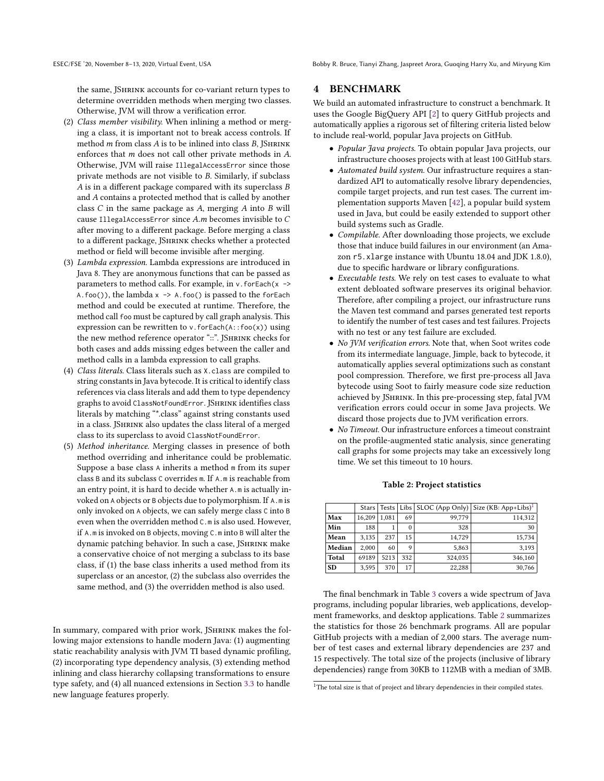the same, JSHRINK accounts for co-variant return types to determine overridden methods when merging two classes. Otherwise, JVM will throw a verification error.

- (2) Class member visibility. When inlining a method or merging a class, it is important not to break access controls. If method  $m$  from class  $A$  is to be inlined into class  $B$ . ISHRINK enforces that m does not call other private methods in A. Otherwise, JVM will raise IllegalAccessError since those private methods are not visible to B. Similarly, if subclass A is in a different package compared with its superclass B and A contains a protected method that is called by another class  $C$  in the same package as  $A$ , merging  $A$  into  $B$  will cause IllegalAccessError since <sup>A</sup>.<sup>m</sup> becomes invisible to <sup>C</sup> after moving to a different package. Before merging a class to a different package, JShrink checks whether a protected method or field will become invisible after merging.
- (3) Lambda expression. Lambda expressions are introduced in Java 8. They are anonymous functions that can be passed as parameters to method calls. For example, in  $v$ . for Each(x ->  $A.foo()$ , the lambda  $x \rightarrow A.foo()$  is passed to the for Each method and could be executed at runtime. Therefore, the method call foo must be captured by call graph analysis. This expression can be rewritten to v. for Each $(A: foo(x))$  using the new method reference operator "::". JSHRINK checks for both cases and adds missing edges between the caller and method calls in a lambda expression to call graphs.
- (4) Class literals. Class literals such as X.class are compiled to string constants in Java bytecode. It is critical to identify class references via class literals and add them to type dependency graphs to avoid ClassNotFoundError. JShrink identifies class literals by matching "\*.class" against string constants used in a class. JShrink also updates the class literal of a merged class to its superclass to avoid ClassNotFoundError.
- (5) Method inheritance. Merging classes in presence of both method overriding and inheritance could be problematic. Suppose a base class A inherits a method m from its super class B and its subclass C overrides m. If A.m is reachable from an entry point, it is hard to decide whether A.m is actually invoked on A objects or B objects due to polymorphism. If A.m is only invoked on A objects, we can safely merge class C into B even when the overridden method C.m is also used. However, if A.m is invoked on B objects, moving C.m into B will alter the dynamic patching behavior. In such a case, JSHRINK make a conservative choice of not merging a subclass to its base class, if (1) the base class inherits a used method from its superclass or an ancestor, (2) the subclass also overrides the same method, and (3) the overridden method is also used.

In summary, compared with prior work, JSHRINK makes the following major extensions to handle modern Java: (1) augmenting static reachability analysis with JVM TI based dynamic profiling, (2) incorporating type dependency analysis, (3) extending method inlining and class hierarchy collapsing transformations to ensure type safety, and (4) all nuanced extensions in Section [3.3](#page-4-0) to handle new language features properly.

# 4 BENCHMARK

We build an automated infrastructure to construct a benchmark. It uses the Google BigQuery API [\[2\]](#page-10-27) to query GitHub projects and automatically applies a rigorous set of filtering criteria listed below to include real-world, popular Java projects on GitHub.

- Popular Java projects. To obtain popular Java projects, our infrastructure chooses projects with at least 100 GitHub stars.
- Automated build system. Our infrastructure requires a standardized API to automatically resolve library dependencies, compile target projects, and run test cases. The current implementation supports Maven [\[42\]](#page-10-7), a popular build system used in Java, but could be easily extended to support other build systems such as Gradle.
- Compilable. After downloading those projects, we exclude those that induce build failures in our environment (an Amazon r5.xlarge instance with Ubuntu 18.04 and JDK 1.8.0), due to specific hardware or library configurations.
- Executable tests. We rely on test cases to evaluate to what extent debloated software preserves its original behavior. Therefore, after compiling a project, our infrastructure runs the Maven test command and parses generated test reports to identify the number of test cases and test failures. Projects with no test or any test failure are excluded.
- No JVM verification errors. Note that, when Soot writes code from its intermediate language, Jimple, back to bytecode, it automatically applies several optimizations such as constant pool compression. Therefore, we first pre-process all Java bytecode using Soot to fairly measure code size reduction achieved by JShrink. In this pre-processing step, fatal JVM verification errors could occur in some Java projects. We discard those projects due to JVM verification errors.
- No Timeout. Our infrastructure enforces a timeout constraint on the profile-augmented static analysis, since generating call graphs for some projects may take an excessively long time. We set this timeout to 10 hours.

<span id="page-5-1"></span>

|           | Stars  |       |     |         | Tests   Libs   SLOC (App Only)   Size (KB: App+Libs) <sup>1</sup> |
|-----------|--------|-------|-----|---------|-------------------------------------------------------------------|
| Max       | 16.209 | 1.081 | 69  | 99,779  | 114,312                                                           |
| Min       | 188    |       | 0   | 328     | 30                                                                |
| Mean      | 3.135  | 237   | 15  | 14.729  | 15,734                                                            |
| Median    | 2.000  | 60    | 9   | 5.863   | 3,193                                                             |
| Total     | 69189  | 5213  | 332 | 324,035 | 346,160                                                           |
| <b>SD</b> | 3,595  | 370   | 17  | 22.288  | 30,766                                                            |

#### Table 2: Project statistics

The final benchmark in Table [3](#page-7-1) covers a wide spectrum of Java programs, including popular libraries, web applications, development frameworks, and desktop applications. Table [2](#page-5-1) summarizes the statistics for those 26 benchmark programs. All are popular GitHub projects with a median of 2,000 stars. The average number of test cases and external library dependencies are 237 and 15 respectively. The total size of the projects (inclusive of library dependencies) range from 30KB to 112MB with a median of 3MB.

<span id="page-5-0"></span><sup>&</sup>lt;sup>1</sup>The total size is that of project and library dependencies in their compiled states.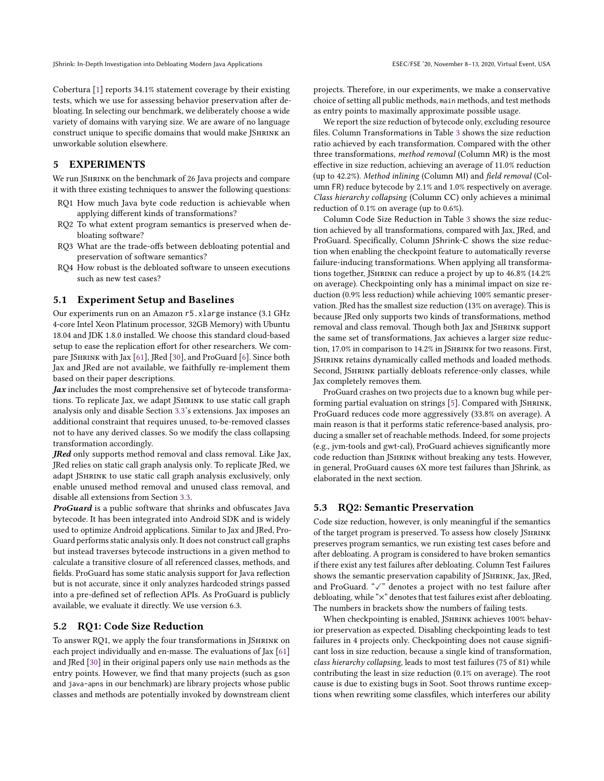Cobertura [\[1\]](#page-10-28) reports 34.1% statement coverage by their existing tests, which we use for assessing behavior preservation after debloating. In selecting our benchmark, we deliberately choose a wide variety of domains with varying size. We are aware of no language construct unique to specific domains that would make JSHRINK an unworkable solution elsewhere.

# <span id="page-6-1"></span>5 EXPERIMENTS

We run JSHRINK on the benchmark of 26 Java projects and compare it with three existing techniques to answer the following questions:

- RQ1 How much Java byte code reduction is achievable when applying different kinds of transformations?
- RQ2 To what extent program semantics is preserved when debloating software?
- RQ3 What are the trade-offs between debloating potential and preservation of software semantics?
- RQ4 How robust is the debloated software to unseen executions such as new test cases?

#### 5.1 Experiment Setup and Baselines

Our experiments run on an Amazon r5.xlarge instance (3.1 GHz 4-core Intel Xeon Platinum processor, 32GB Memory) with Ubuntu 18.04 and JDK 1.8.0 installed. We choose this standard cloud-based setup to ease the replication effort for other researchers. We compare JShrink with Jax [\[61\]](#page-11-5), JRed [\[30\]](#page-10-4), and ProGuard [\[6\]](#page-10-2). Since both Jax and JRed are not available, we faithfully re-implement them based on their paper descriptions.

 $\int$ *Jax* includes the most comprehensive set of bytecode transformations. To replicate Jax, we adapt JSHRINK to use static call graph analysis only and disable Section [3.3'](#page-4-0)s extensions. Jax imposes an additional constraint that requires unused, to-be-removed classes not to have any derived classes. So we modify the class collapsing transformation accordingly.

JRed only supports method removal and class removal. Like Jax, JRed relies on static call graph analysis only. To replicate JRed, we adapt JSHRINK to use static call graph analysis exclusively, only enable unused method removal and unused class removal, and disable all extensions from Section [3.3.](#page-4-0)

ProGuard is a public software that shrinks and obfuscates Java bytecode. It has been integrated into Android SDK and is widely used to optimize Android applications. Similar to Jax and JRed, Pro-Guard performs static analysis only. It does not construct call graphs but instead traverses bytecode instructions in a given method to calculate a transitive closure of all referenced classes, methods, and fields. ProGuard has some static analysis support for Java reflection but is not accurate, since it only analyzes hardcoded strings passed into a pre-defined set of reflection APIs. As ProGuard is publicly available, we evaluate it directly. We use version 6.3.

#### 5.2 RQ1: Code Size Reduction

To answer RQ1, we apply the four transformations in JShrink on each project individually and en-masse. The evaluations of Jax [\[61\]](#page-11-5) and JRed [\[30\]](#page-10-4) in their original papers only use main methods as the entry points. However, we find that many projects (such as gson and java-apns in our benchmark) are library projects whose public classes and methods are potentially invoked by downstream client projects. Therefore, in our experiments, we make a conservative choice of setting all public methods, main methods, and test methods as entry points to maximally approximate possible usage.

We report the size reduction of bytecode only, excluding resource files. Column Transformations in Table [3](#page-7-1) shows the size reduction ratio achieved by each transformation. Compared with the other three transformations, method removal (Column MR) is the most effective in size reduction, achieving an average of 11.0% reduction (up to 42.2%). Method inlining (Column MI) and field removal (Column FR) reduce bytecode by 2.1% and 1.0% respectively on average. Class hierarchy collapsing (Column CC) only achieves a minimal reduction of 0.1% on average (up to 0.6%).

Column Code Size Reduction in Table [3](#page-7-1) shows the size reduction achieved by all transformations, compared with Jax, JRed, and ProGuard. Specifically, Column JShrink-C shows the size reduction when enabling the checkpoint feature to automatically reverse failure-inducing transformations. When applying all transformations together, JShrink can reduce a project by up to 46.8% (14.2% on average). Checkpointing only has a minimal impact on size reduction (0.9% less reduction) while achieving 100% semantic preservation. JRed has the smallest size reduction (13% on average). This is because JRed only supports two kinds of transformations, method removal and class removal. Though both Jax and JSHRINK support the same set of transformations, Jax achieves a larger size reduction, 17.0% in comparison to 14.2% in JSHRINK for two reasons. First, JShrink retains dynamically called methods and loaded methods. Second, JSHRINK partially debloats reference-only classes, while Jax completely removes them.

ProGuard crashes on two projects due to a known bug while per-forming partial evaluation on strings [\[5\]](#page-10-29). Compared with JSHRINK, ProGuard reduces code more aggressively (33.8% on average). A main reason is that it performs static reference-based analysis, producing a smaller set of reachable methods. Indeed, for some projects (e.g., jvm-tools and gwt-cal), ProGuard achieves significantly more code reduction than JShrink without breaking any tests. However, in general, ProGuard causes 6X more test failures than JShrink, as elaborated in the next section.

# <span id="page-6-0"></span>5.3 RQ2: Semantic Preservation

Code size reduction, however, is only meaningful if the semantics of the target program is preserved. To assess how closely JSHRINK preserves program semantics, we run existing test cases before and after debloating. A program is considered to have broken semantics if there exist any test failures after debloating. Column Test Failures shows the semantic preservation capability of JSHRINK, Jax, JRed, and ProGuard. "✓" denotes a project with no test failure after debloating, while "×" denotes that test failures exist after debloating. The numbers in brackets show the numbers of failing tests.

When checkpointing is enabled, JSHRINK achieves 100% behavior preservation as expected. Disabling checkpointing leads to test failures in 4 projects only. Checkpointing does not cause significant loss in size reduction, because a single kind of transformation, class hierarchy collapsing, leads to most test failures (75 of 81) while contributing the least in size reduction (0.1% on average). The root cause is due to existing bugs in Soot. Soot throws runtime exceptions when rewriting some classfiles, which interferes our ability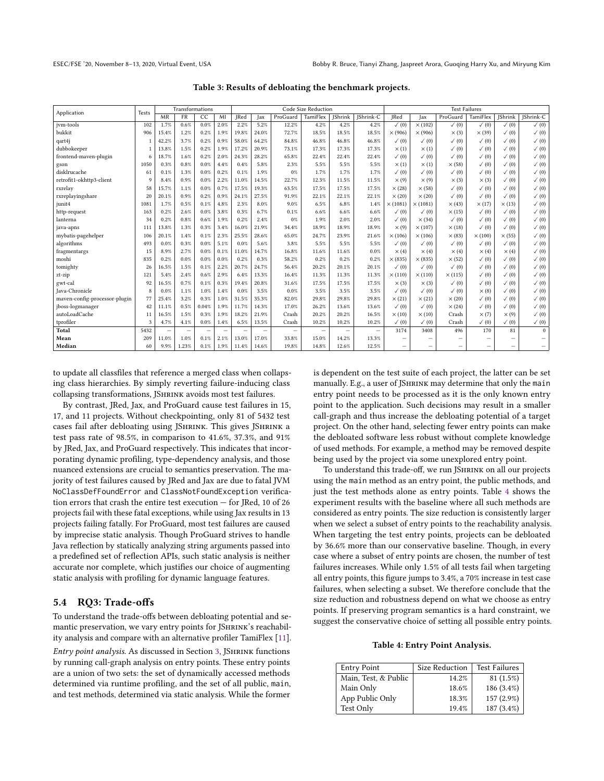<span id="page-7-1"></span>

| Application                   |      | Transformations<br><b>Tests</b> |                          |                          | Code Size Reduction      |                          |                          |                 |                          |           | <b>Test Failures</b>     |                  |                          |                  |                  |                  |                  |
|-------------------------------|------|---------------------------------|--------------------------|--------------------------|--------------------------|--------------------------|--------------------------|-----------------|--------------------------|-----------|--------------------------|------------------|--------------------------|------------------|------------------|------------------|------------------|
|                               | MR   | <b>FR</b>                       | CC                       | MI                       | <b>IRed</b>              | lax                      | ProGuard                 | <b>TamiFlex</b> | <b>IShrink</b>           | IShrink-C | <b>IRed</b>              | lax              | ProGuard                 | <b>TamiFlex</b>  | <b>IShrink</b>   | IShrink-C        |                  |
| jym-tools                     | 102  | 1.7%                            | 0.6%                     | 0.0%                     | 2.0%                     | 2.2%                     | 5.2%                     | 12.2%           | 4.2%                     | 4.2%      | 4.2%                     | $\checkmark$ (0) | $\times$ (102)           | $\checkmark$ (0) | $\checkmark$ (0) | $\checkmark$ (0) | $\checkmark$ (0) |
| bukkit                        | 906  | 15.4%                           | 1.2%                     | 0.2%                     | 1.9%                     | 19.8%                    | 24.0%                    | 72.7%           | 18.5%                    | 18.5%     | 18.5%                    | $\times$ (906)   | $\times$ (906)           | $\times$ (3)     | $\times$ (39)    | $\checkmark$ (0) | $\checkmark$ (0) |
| qart4j                        |      | 42.2%                           | 3.7%                     | 0.2%                     | 0.9%                     | 58.0%                    | 64.2%                    | 84.8%           | 46.8%                    | 46.8%     | 46.8%                    | $\checkmark$ (0) | $\checkmark$ (0)         | $\checkmark$ (0) | $\checkmark$ (0) | $\checkmark$ (0) | $\checkmark$ (0) |
| dubbokeeper                   |      | 13.8%                           | 1.5%                     | 0.2%                     | 1.9%                     | 17.2%                    | 20.9%                    | 73.1%           | 17.3%                    | 17.3%     | 17.3%                    | $\times$ (1)     | $\times$ (1)             | $\checkmark$ (0) | $\checkmark$ (0) | $\checkmark$ (0) | $\checkmark$ (0) |
| frontend-maven-plugin         | 6    | 18.7%                           | 1.6%                     | 0.2%                     | 2.0%                     | 24.3%                    | 28.2%                    | 65.8%           | 22.4%                    | 22.4%     | 22.4%                    | $\checkmark$ (0) | $\checkmark$ (0)         | $\checkmark$ (0) | $\checkmark$ (0) | $\checkmark$ (0) | $\checkmark$ (0) |
| gson                          | 1050 | 0.3%                            | 0.8%                     | 0.0%                     | 4.4%                     | 0.4%                     | 5.8%                     | 2.3%            | 5.5%                     | 5.5%      | 5.5%                     | $\times$ (1)     | $\times$ (1)             | $\times$ (58)    | $\checkmark$ (0) | $\checkmark$ (0) | $\checkmark$ (0) |
| disklrucache                  | 61   | 0.1%                            | 1.3%                     | 0.0%                     | 0.2%                     | 0.1%                     | 1.9%                     | 0%              | 1.7%                     | 1.7%      | 1.7%                     | $\checkmark$ (0) | $\checkmark$ (0)         | $\checkmark$ (0) | $\checkmark$ (0) | $\checkmark$ (0) | $\checkmark$ (0) |
| retrofit1-okhttp3-client      | 9    | 8.4%                            | 0.9%                     | 0.0%                     | 2.2%                     | 11.0%                    | 14.5%                    | 22.7%           | 12.3%                    | 11.5%     | 11.5%                    | $\times$ (9)     | $\times$ (9)             | $\times$ (3)     | $\times$ (3)     | $\checkmark$ (0) | $\checkmark$ (0) |
| rxrelay                       | 58   | 15.7%                           | 1.1%                     | 0.0%                     | 0.7%                     | 17.5%                    | 19.3%                    | 63.5%           | 17.5%                    | 17.5%     | 17.5%                    | $\times$ (28)    | $\times$ (58)            | $\checkmark$ (0) | $\checkmark$ (0) | $\checkmark$ (0) | $\checkmark$ (0) |
| rxreplayingshare              | 20   | 20.1%                           | 0.9%                     | 0.2%                     | 0.9%                     | 24.1%                    | 27.5%                    | 91.9%           | 22.1%                    | 22.1%     | 22.1%                    | $\times$ (20)    | $\times$ (20)            | $\checkmark$ (0) | $\checkmark$ (0) | $\checkmark$ (0) | $\checkmark$ (0) |
| junit4                        | 1081 | 1.7%                            | 0.5%                     | 0.1%                     | 4.8%                     | 2.3%                     | 8.0%                     | 9.0%            | 6.5%                     | 6.8%      | 1.4%                     | $\times$ (1081)  | $\times$ (1081)          | $\times$ (43)    | $\times$ (17)    | $\times$ (13)    | $\checkmark$ (0) |
| http-request                  | 163  | 0.2%                            | 2.6%                     | 0.0%                     | 3.8%                     | 0.3%                     | 6.7%                     | 0.1%            | 6.6%                     | 6.6%      | 6.6%                     | $\checkmark$ (0) | $\checkmark$ (0)         | $\times$ (15)    | $\checkmark$ (0) | $\checkmark$ (0) | $\checkmark$ (0) |
| lanterna                      | 34   | 0.2%                            | 0.8%                     | 0.6%                     | 1.9%                     | 0.2%                     | 2.4%                     | 0%              | 1.9%                     | 2.0%      | 2.0%                     | $\checkmark$ (0) | $\times$ (34)            | $\checkmark$ (0) | $\checkmark$ (0) | $\checkmark$ (0) | $\checkmark$ (0) |
| java-apns                     | 111  | 13.8%                           | 1.3%                     | 0.3%                     | 3.4%                     | 16.0%                    | 21.9%                    | 34.4%           | 18.9%                    | 18.9%     | 18.9%                    | $\times$ (9)     | $\times$ (107)           | $\times$ (18)    | $\checkmark$ (0) | $\checkmark$ (0) | $\checkmark$ (0) |
| mybatis-pagehelper            | 106  | 20.1%                           | 1.4%                     | 0.1%                     | 2.3%                     | 25.5%                    | 28.6%                    | 65.0%           | 24.7%                    | 23.9%     | 21.6%                    | $\times(106)$    | $\times(106)$            | $\times$ (83)    | $\times(100)$    | $\times$ (55)    | $\checkmark$ (0) |
| algorithms                    | 493  | 0.0%                            | 0.3%                     | 0.0%                     | 5.1%                     | 0.0%                     | 5.6%                     | 3.8%            | 5.5%                     | 5.5%      | 5.5%                     | $\checkmark$ (0) | $\checkmark$ (0)         | $\checkmark$ (0) | $\checkmark$ (0) | $\checkmark$ (0) | $\checkmark$ (0) |
| fragmentargs                  | 15   | 8.9%                            | 2.7%                     | 0.0%                     | 0.1%                     | 11.0%                    | 14.7%                    | 16.8%           | 11.6%                    | 11.6%     | 0.0%                     | $\times$ (4)     | $\times$ (4)             | $\times$ (4)     | $\times$ (4)     | $\times$ (4)     | $\checkmark$ (0) |
| moshi                         | 835  | 0.2%                            | 0.0%                     | 0.0%                     | 0.0%                     | 0.2%                     | 0.3%                     | 58.2%           | 0.2%                     | 0.2%      | 0.2%                     | $\times$ (835)   | $\times$ (835)           | $\times$ (52)    | $\checkmark$ (0) | $\checkmark$ (0) | $\checkmark$ (0) |
| tomighty                      | 26   | 16.5%                           | 1.5%                     | 0.1%                     | 2.2%                     | 20.7%                    | 24.7%                    | 56.4%           | 20.2%                    | 20.1%     | 20.1%                    | $\checkmark$ (0) | $\checkmark$ (0)         | $\checkmark$ (0) | $\checkmark$ (0) | $\checkmark$ (0) | $\checkmark$ (0) |
| zt-zip                        | 121  | 5.4%                            | 2.4%                     | 0.6%                     | 2.9%                     | 6.4%                     | 13.3%                    | 16.4%           | 11.3%                    | 11.3%     | 11.3%                    | $\times$ (110)   | $\times$ (110)           | $\times$ (115)   | $\checkmark$ (0) | $\checkmark$ (0) | $\checkmark$ (0) |
| gwt-cal                       | 92   | 16.5%                           | 0.7%                     | 0.1%                     | 0.3%                     | 19.4%                    | 20.8%                    | 31.6%           | 17.5%                    | 17.5%     | 17.5%                    | $\times$ (3)     | $\times$ (3)             | $\checkmark$ (0) | $\checkmark$ (0) | $\checkmark$ (0) | $\checkmark$ (0) |
| <b>Java-Chronicle</b>         | 8    | 0.0%                            | 1.1%                     | 1.0%                     | 1.4%                     | 0.0%                     | 3.5%                     | 0.0%            | 3.5%                     | 3.5%      | 3.5%                     | $\checkmark$ (0) | $\checkmark$ (0)         | $\checkmark$ (0) | $\times$ (8)     | $\checkmark$ (0) | $\checkmark$ (0) |
| maven-config-processor-plugin | 77   | 25.4%                           | 3.2%                     | 0.3%                     | 1.0%                     | 31.5%                    | 35.3%                    | 82.0%           | 29.8%                    | 29.8%     | 29.8%                    | $\times$ (21)    | $\times$ (21)            | $\times$ (20)    | $\checkmark$ (0) | $\checkmark$ (0) | $\checkmark$ (0) |
| jboss-logmanager              | 42   | 11.1%                           | 0.5%                     | 0.04%                    | 1.9%                     | 11.7%                    | 14.3%                    | 17.0%           | 26.2%                    | 13.6%     | 13.6%                    | $\checkmark$ (0) | $\checkmark$ (0)         | $\times$ (24)    | $\checkmark$ (0) | $\checkmark$ (0) | $\checkmark$ (0) |
| autoLoadCache                 | 11   | 16.5%                           | 1.5%                     | 0.3%                     | 1.9%                     | 18.2%                    | 21.9%                    | Crash           | 20.2%                    | 20.2%     | 16.5%                    | $\times(10)$     | $\times(10)$             | Crash            | $\times$ (7)     | $\times$ (9)     | $\checkmark$ (0) |
| tprofiler                     | 3    | 4.7%                            | 4.1%                     | 0.0%                     | 1.4%                     | 6.5%                     | 13.5%                    | Crash           | 10.2%                    | 10.2%     | 10.2%                    | $\checkmark$ (0) | $\checkmark$ (0)         | Crash            | $\checkmark$ (0) | $\checkmark$ (0) | $\checkmark$ (0) |
| Total                         | 5432 | $\overline{\phantom{0}}$        | $\overline{\phantom{0}}$ | $\overline{\phantom{0}}$ | $\overline{\phantom{a}}$ | $\overline{\phantom{0}}$ | $\overline{\phantom{0}}$ | $\qquad \qquad$ | $\overline{\phantom{m}}$ |           | $\overline{\phantom{0}}$ | 3174             | 3408                     | 496              | 170              | 81               | $\theta$         |
| Mean                          | 209  | 11.0%                           | 1.0%                     | 0.1%                     | 2.1%                     | 13.0%                    | 17.0%                    | 33.8%           | 15.0%                    | 14.2%     | 13.3%                    |                  |                          |                  | -                |                  |                  |
| Median                        | 60   | 9.9%                            | 1.23%                    | $0.1\%$                  | 1.9%                     | 11.4%                    | 14.6%                    | 19.8%           | 14.8%                    | 12.6%     | 12.5%                    | -                | $\overline{\phantom{0}}$ | -                | -                | -                | -                |

Table 3: Results of debloating the benchmark projects.

to update all classfiles that reference a merged class when collapsing class hierarchies. By simply reverting failure-inducing class collapsing transformations, JShrink avoids most test failures.

By contrast, JRed, Jax, and ProGuard cause test failures in 15, 17, and 11 projects. Without checkpointing, only 81 of 5432 test cases fail after debloating using JShrink. This gives JShrink a test pass rate of 98.5%, in comparison to 41.6%, 37.3%, and 91% by JRed, Jax, and ProGuard respectively. This indicates that incorporating dynamic profiling, type-dependency analysis, and those nuanced extensions are crucial to semantics preservation. The majority of test failures caused by JRed and Jax are due to fatal JVM NoClassDefFoundError and ClassNotFoundException verification errors that crash the entire test execution — for JRed, 10 of 26 projects fail with these fatal exceptions, while using Jax results in 13 projects failing fatally. For ProGuard, most test failures are caused by imprecise static analysis. Though ProGuard strives to handle Java reflection by statically analyzing string arguments passed into a predefined set of reflection APIs, such static analysis is neither accurate nor complete, which justifies our choice of augmenting static analysis with profiling for dynamic language features.

# <span id="page-7-0"></span>5.4 RQ3: Trade-offs

To understand the trade-offs between debloating potential and semantic preservation, we vary entry points for JSHRINK's reachability analysis and compare with an alternative profiler TamiFlex [\[11\]](#page-10-23).

Entry point analysis. As discussed in Section [3,](#page-2-0) JSHRINK functions by running call-graph analysis on entry points. These entry points are a union of two sets: the set of dynamically accessed methods determined via runtime profiling, and the set of all public, main, and test methods, determined via static analysis. While the former

is dependent on the test suite of each project, the latter can be set manually. E.g., a user of JSHRINK may determine that only the main entry point needs to be processed as it is the only known entry point to the application. Such decisions may result in a smaller call-graph and thus increase the debloating potential of a target project. On the other hand, selecting fewer entry points can make the debloated software less robust without complete knowledge of used methods. For example, a method may be removed despite being used by the project via some unexplored entry point.

To understand this trade-off, we run JSHRINK on all our projects using the main method as an entry point, the public methods, and just the test methods alone as entry points. Table [4](#page-7-2) shows the experiment results with the baseline where all such methods are considered as entry points. The size reduction is consistently larger when we select a subset of entry points to the reachability analysis. When targeting the test entry points, projects can be debloated by 36.6% more than our conservative baseline. Though, in every case where a subset of entry points are chosen, the number of test failures increases. While only 1.5% of all tests fail when targeting all entry points, this figure jumps to 3.4%, a 70% increase in test case failures, when selecting a subset. We therefore conclude that the size reduction and robustness depend on what we choose as entry points. If preserving program semantics is a hard constraint, we suggest the conservative choice of setting all possible entry points.

Table 4: Entry Point Analysis.

<span id="page-7-2"></span>

| <b>Entry Point</b>   | Size Reduction | <b>Test Failures</b> |
|----------------------|----------------|----------------------|
| Main, Test, & Public | 14.2%          | 81 (1.5%)            |
| Main Only            | 18.6%          | 186 (3.4%)           |
| App Public Only      | 18.3%          | 157 (2.9%)           |
| Test Only            | 19.4%          | 187 (3.4%)           |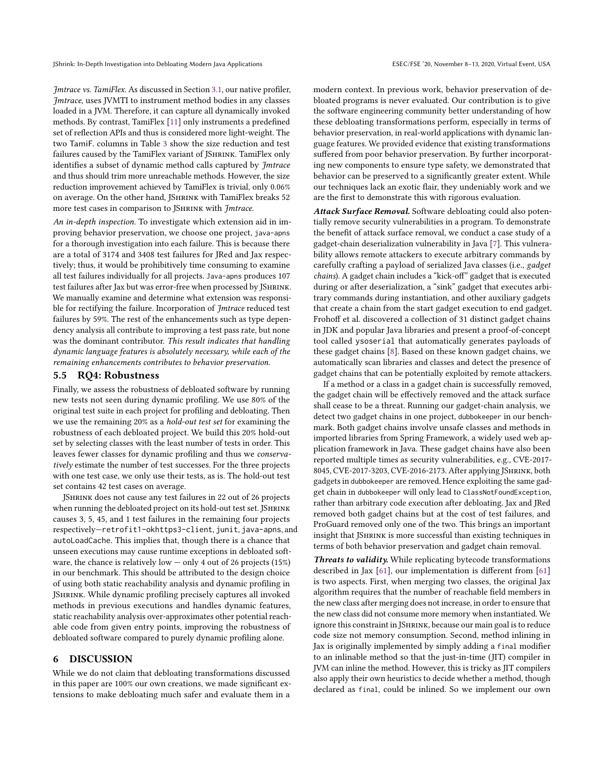Jmtrace vs. TamiFlex. As discussed in Section [3.1,](#page-2-1) our native profiler, Jmtrace, uses JVMTI to instrument method bodies in any classes loaded in a JVM. Therefore, it can capture all dynamically invoked methods. By contrast, TamiFlex [\[11\]](#page-10-23) only instruments a predefined set of reflection APIs and thus is considered more light-weight. The two TamiF. columns in Table [3](#page-7-1) show the size reduction and test failures caused by the TamiFlex variant of JSHRINK. TamiFlex only identifies a subset of dynamic method calls captured by Jmtrace and thus should trim more unreachable methods. However, the size reduction improvement achieved by TamiFlex is trivial, only 0.06% on average. On the other hand, JSHRINK with TamiFlex breaks 52 more test cases in comparison to JSHRINK with Jmtrace.

An in-depth inspection. To investigate which extension aid in improving behavior preservation, we choose one project, java-apns for a thorough investigation into each failure. This is because there are a total of 3174 and 3408 test failures for JRed and Jax respectively; thus, it would be prohibitively time consuming to examine all test failures individually for all projects. Java-apns produces 107 test failures after Jax but was error-free when processed by JSHRINK. We manually examine and determine what extension was responsible for rectifying the failure. Incorporation of Jmtrace reduced test failures by 59%. The rest of the enhancements such as type dependency analysis all contribute to improving a test pass rate, but none was the dominant contributor. This result indicates that handling dynamic language features is absolutely necessary, while each of the remaining enhancements contributes to behavior preservation.

# <span id="page-8-0"></span>5.5 RQ4: Robustness

Finally, we assess the robustness of debloated software by running new tests not seen during dynamic profiling. We use 80% of the original test suite in each project for profiling and debloating. Then we use the remaining 20% as a hold-out test set for examining the robustness of each debloated project. We build this 20% hold-out set by selecting classes with the least number of tests in order. This leaves fewer classes for dynamic profiling and thus we conservatively estimate the number of test successes. For the three projects with one test case, we only use their tests, as is. The hold-out test set contains 42 test cases on average.

JShrink does not cause any test failures in 22 out of 26 projects when running the debloated project on its hold-out test set. JSHRINK causes 3, 5, 45, and 1 test failures in the remaining four projects respectively—retrofit1-okhttps3-client, junit, java-apns, and autoLoadCache. This implies that, though there is a chance that unseen executions may cause runtime exceptions in debloated software, the chance is relatively low  $-$  only 4 out of 26 projects (15%) in our benchmark. This should be attributed to the design choice of using both static reachability analysis and dynamic profiling in JShrink. While dynamic profiling precisely captures all invoked methods in previous executions and handles dynamic features, static reachability analysis over-approximates other potential reachable code from given entry points, improving the robustness of debloated software compared to purely dynamic profiling alone.

## 6 DISCUSSION

While we do not claim that debloating transformations discussed in this paper are 100% our own creations, we made significant extensions to make debloating much safer and evaluate them in a

modern context. In previous work, behavior preservation of debloated programs is never evaluated. Our contribution is to give the software engineering community better understanding of how these debloating transformations perform, especially in terms of behavior preservation, in real-world applications with dynamic language features. We provided evidence that existing transformations suffered from poor behavior preservation. By further incorporating new components to ensure type safety, we demonstrated that behavior can be preserved to a significantly greater extent. While our techniques lack an exotic flair, they undeniably work and we are the first to demonstrate this with rigorous evaluation.

Attack Surface Removal. Software debloating could also potentially remove security vulnerabilities in a program. To demonstrate the benefit of attack surface removal, we conduct a case study of a gadget-chain deserialization vulnerability in Java [\[7\]](#page-10-30). This vulnerability allows remote attackers to execute arbitrary commands by carefully crafting a payload of serialized Java classes (i.e., gadget chains). A gadget chain includes a "kick-off" gadget that is executed during or after deserialization, a "sink" gadget that executes arbitrary commands during instantiation, and other auxiliary gadgets that create a chain from the start gadget execution to end gadget. Frohoff et al. discovered a collection of 31 distinct gadget chains in JDK and popular Java libraries and present a proof-of-concept tool called ysoserial that automatically generates payloads of these gadget chains [\[8\]](#page-10-31). Based on these known gadget chains, we automatically scan libraries and classes and detect the presence of gadget chains that can be potentially exploited by remote attackers.

If a method or a class in a gadget chain is successfully removed, the gadget chain will be effectively removed and the attack surface shall cease to be a threat. Running our gadget-chain analysis, we detect two gadget chains in one project, dubbokeeper in our benchmark. Both gadget chains involve unsafe classes and methods in imported libraries from Spring Framework, a widely used web application framework in Java. These gadget chains have also been reported multiple times as security vulnerabilities, e.g., CVE-2017- 8045, CVE-2017-3203, CVE-2016-2173. After applying JShrink, both gadgets in dubbokeeper are removed. Hence exploiting the same gadget chain in dubbokeeper will only lead to ClassNotFoundException, rather than arbitrary code execution after debloating. Jax and JRed removed both gadget chains but at the cost of test failures, and ProGuard removed only one of the two. This brings an important insight that JSHRINK is more successful than existing techniques in terms of both behavior preservation and gadget chain removal.

Threats to validity. While replicating bytecode transformations described in Jax [\[61\]](#page-11-5), our implementation is different from [\[61\]](#page-11-5) is two aspects. First, when merging two classes, the original Jax algorithm requires that the number of reachable field members in the new class after merging does not increase, in order to ensure that the new class did not consume more memory when instantiated. We ignore this constraint in JSHRINK, because our main goal is to reduce code size not memory consumption. Second, method inlining in Jax is originally implemented by simply adding a final modifier to an inlinable method so that the just-in-time (JIT) compiler in JVM can inline the method. However, this is tricky as JIT compilers also apply their own heuristics to decide whether a method, though declared as final, could be inlined. So we implement our own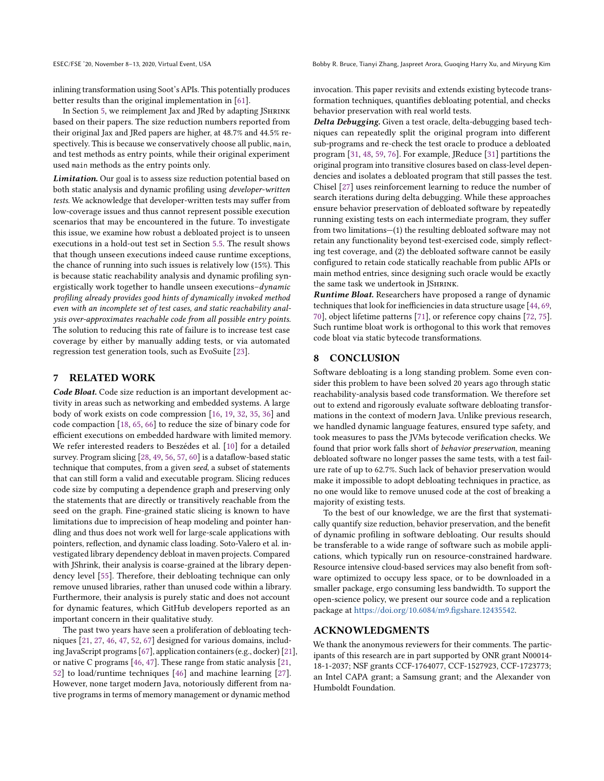inlining transformation using Soot's APIs. This potentially produces better results than the original implementation in [\[61\]](#page-11-5).

In Section [5,](#page-6-1) we reimplement Jax and JRed by adapting JSHRINK based on their papers. The size reduction numbers reported from their original Jax and JRed papers are higher, at 48.7% and 44.5% respectively. This is because we conservatively choose all public, main, and test methods as entry points, while their original experiment used main methods as the entry points only.

Limitation. Our goal is to assess size reduction potential based on both static analysis and dynamic profiling using developer-written tests. We acknowledge that developer-written tests may suffer from low-coverage issues and thus cannot represent possible execution scenarios that may be encountered in the future. To investigate this issue, we examine how robust a debloated project is to unseen executions in a hold-out test set in Section [5.5.](#page-8-0) The result shows that though unseen executions indeed cause runtime exceptions, the chance of running into such issues is relatively low (15%). This is because static reachability analysis and dynamic profiling synergistically work together to handle unseen executions–dynamic profiling already provides good hints of dynamically invoked method even with an incomplete set of test cases, and static reachability analysis over-approximates reachable code from all possible entry points. The solution to reducing this rate of failure is to increase test case coverage by either by manually adding tests, or via automated regression test generation tools, such as EvoSuite [\[23\]](#page-10-32).

## 7 RELATED WORK

Code Bloat. Code size reduction is an important development activity in areas such as networking and embedded systems. A large body of work exists on code compression [\[16,](#page-10-33) [19,](#page-10-34) [32,](#page-10-35) [35,](#page-10-36) [36\]](#page-10-37) and code compaction [\[18,](#page-10-38) [65,](#page-11-20) [66\]](#page-11-21) to reduce the size of binary code for efficient executions on embedded hardware with limited memory. We refer interested readers to Beszédes et al. [\[10\]](#page-10-39) for a detailed survey. Program slicing [\[28,](#page-10-40) [49,](#page-11-22) [56,](#page-11-23) [57,](#page-11-24) [60\]](#page-11-25) is a dataflow-based static technique that computes, from a given seed, a subset of statements that can still form a valid and executable program. Slicing reduces code size by computing a dependence graph and preserving only the statements that are directly or transitively reachable from the seed on the graph. Fine-grained static slicing is known to have limitations due to imprecision of heap modeling and pointer handling and thus does not work well for large-scale applications with pointers, reflection, and dynamic class loading. Soto-Valero et al. investigated library dependency debloat in maven projects. Compared with JShrink, their analysis is coarse-grained at the library dependency level [\[55\]](#page-11-26). Therefore, their debloating technique can only remove unused libraries, rather than unused code within a library. Furthermore, their analysis is purely static and does not account for dynamic features, which GitHub developers reported as an important concern in their qualitative study.

The past two years have seen a proliferation of debloating techniques [\[21,](#page-10-41) [27,](#page-10-0) [46,](#page-11-2) [47,](#page-11-11) [52,](#page-11-3) [67\]](#page-11-7) designed for various domains, including JavaScript programs [\[67\]](#page-11-7), application containers (e.g., docker) [\[21\]](#page-10-41), or native C programs [\[46,](#page-11-2) [47\]](#page-11-11). These range from static analysis [\[21,](#page-10-41) [52\]](#page-11-3) to load/runtime techniques [\[46\]](#page-11-2) and machine learning [\[27\]](#page-10-0). However, none target modern Java, notoriously different from native programs in terms of memory management or dynamic method

invocation. This paper revisits and extends existing bytecode transformation techniques, quantifies debloating potential, and checks behavior preservation with real world tests.

Delta Debugging. Given a test oracle, delta-debugging based techniques can repeatedly split the original program into different sub-programs and re-check the test oracle to produce a debloated program [\[31,](#page-10-42) [48,](#page-11-27) [59,](#page-11-4) [76\]](#page-11-28). For example, JReduce [\[31\]](#page-10-42) partitions the original program into transitive closures based on class-level dependencies and isolates a debloated program that still passes the test. Chisel [\[27\]](#page-10-0) uses reinforcement learning to reduce the number of search iterations during delta debugging. While these approaches ensure behavior preservation of debloated software by repeatedly running existing tests on each intermediate program, they suffer from two limitations—(1) the resulting debloated software may not retain any functionality beyond test-exercised code, simply reflecting test coverage, and (2) the debloated software cannot be easily configured to retain code statically reachable from public APIs or main method entries, since designing such oracle would be exactly the same task we undertook in JShrink.

Runtime Bloat. Researchers have proposed a range of dynamic techniques that look for inefficiencies in data structure usage [\[44,](#page-10-43) [69,](#page-11-29) [70\]](#page-11-12), object lifetime patterns [\[71\]](#page-11-30), or reference copy chains [\[72,](#page-11-13) [75\]](#page-11-31). Such runtime bloat work is orthogonal to this work that removes code bloat via static bytecode transformations.

# 8 CONCLUSION

Software debloating is a long standing problem. Some even consider this problem to have been solved 20 years ago through static reachability-analysis based code transformation. We therefore set out to extend and rigorously evaluate software debloating transformations in the context of modern Java. Unlike previous research, we handled dynamic language features, ensured type safety, and took measures to pass the JVMs bytecode verification checks. We found that prior work falls short of behavior preservation, meaning debloated software no longer passes the same tests, with a test failure rate of up to 62.7%. Such lack of behavior preservation would make it impossible to adopt debloating techniques in practice, as no one would like to remove unused code at the cost of breaking a majority of existing tests.

To the best of our knowledge, we are the first that systematically quantify size reduction, behavior preservation, and the benefit of dynamic profiling in software debloating. Our results should be transferable to a wide range of software such as mobile applications, which typically run on resource-constrained hardware. Resource intensive cloud-based services may also benefit from software optimized to occupy less space, or to be downloaded in a smaller package, ergo consuming less bandwidth. To support the open-science policy, we present our source code and a replication package at [https://doi.org/10.6084/m9.figshare.12435542.](https://doi.org/10.6084/m9.figshare.12435542)

# ACKNOWLEDGMENTS

We thank the anonymous reviewers for their comments. The participants of this research are in part supported by ONR grant N00014- 18-1-2037; NSF grants CCF-1764077, CCF-1527923, CCF-1723773; an Intel CAPA grant; a Samsung grant; and the Alexander von Humboldt Foundation.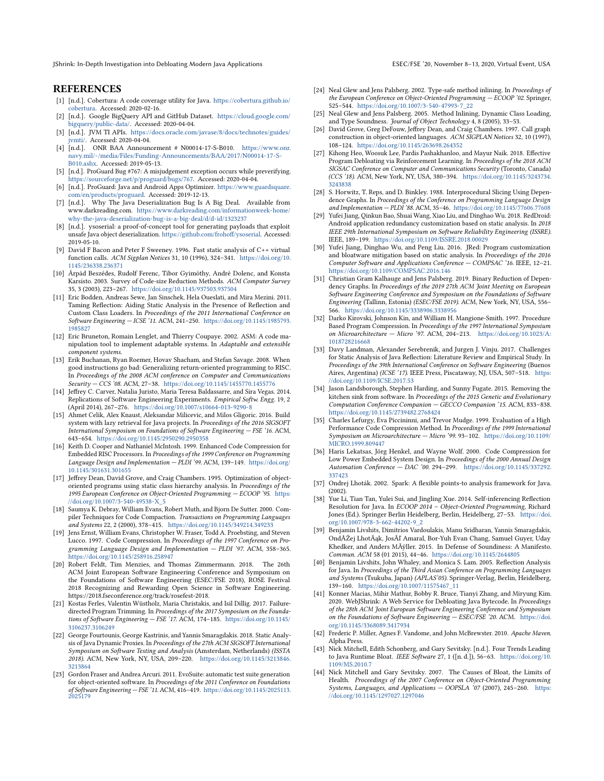JShrink: In-Depth Investigation into Debloating Modern Java Applications ESEC/FSE '20, November 8–13, 2020, Virtual Event, USA

## REFERENCES

- <span id="page-10-28"></span>[1] [n.d.]. Cobertura: A code coverage utility for Java. [https://cobertura.github.io/](https://cobertura.github.io/cobertura) [cobertura.](https://cobertura.github.io/cobertura) Accessed: 2020-02-16.
- <span id="page-10-27"></span>[2] [n.d.]. Google BigQuery API and GitHub Dataset. [https://cloud.google.com/](https://cloud.google.com/bigquery/public-data/) [bigquery/public-data/.](https://cloud.google.com/bigquery/public-data/) Accessed: 2020-04-04.
- <span id="page-10-24"></span>[3] [n.d.]. JVM TI APIs. [https://docs.oracle.com/javase/8/docs/technotes/guides/](https://docs.oracle.com/javase/8/docs/technotes/guides/jvmti/) [jvmti/.](https://docs.oracle.com/javase/8/docs/technotes/guides/jvmti/) Accessed: 2020-04-04.
- <span id="page-10-11"></span>[4] [n.d.]. ONR BAA Announcement # N00014-17-S-B010. [https://www.onr.](https://www.onr.navy.mil/-/media/Files/Funding-Announcements/BAA/2017/N00014-17-S-B010.ashx) [navy.mil/-/media/Files/Funding-Announcements/BAA/2017/N00014-17-S-](https://www.onr.navy.mil/-/media/Files/Funding-Announcements/BAA/2017/N00014-17-S-B010.ashx)[B010.ashx.](https://www.onr.navy.mil/-/media/Files/Funding-Announcements/BAA/2017/N00014-17-S-B010.ashx) Accessed: 2019-05-13.
- <span id="page-10-29"></span>[5] [n.d.]. ProGuard Bug #767: A misjudgement exception occurs while preverifying. [https://sourceforge.net/p/proguard/bugs/767.](https://sourceforge.net/p/proguard/bugs/767) Accessed: 2020-04-04.
- <span id="page-10-2"></span>[6] [n.d.]. ProGuard: Java and Android Apps Optimizer. [https://www.guardsquare.](https://www.guardsquare.com/en/products/proguard) [com/en/products/proguard.](https://www.guardsquare.com/en/products/proguard) Accessed: 2019-12-13.
- <span id="page-10-30"></span>[7] [n.d.]. Why The Java Deserialization Bug Is A Big Deal. Available from www.darkreading.com. [https://www.darkreading.com/informationweek-home/](https://www.darkreading.com/informationweek-home/why-the-java-deserialization-bug-is-a-big-deal/d/d-id/1323237) [why-the-java-deserialization-bug-is-a-big-deal/d/d-id/1323237](https://www.darkreading.com/informationweek-home/why-the-java-deserialization-bug-is-a-big-deal/d/d-id/1323237)
- <span id="page-10-31"></span>[8] [n.d.]. ysoserial: a proof-of-concept tool for generating payloads that exploit unsafe Java object deserialization. [https://github.com/frohoff/ysoserial.](https://github.com/frohoff/ysoserial) Accessed: 2019-05-10.
- <span id="page-10-20"></span>[9] David F Bacon and Peter F Sweeney. 1996. Fast static analysis of C++ virtual function calls. ACM Sigplan Notices 31, 10 (1996), 324–341. [https://doi.org/10.](https://doi.org/10.1145/236338.236371) [1145/236338.236371](https://doi.org/10.1145/236338.236371)
- <span id="page-10-39"></span>[10] Árpád Beszédes, Rudolf Ferenc, Tibor Gyimóthy, André Dolenc, and Konsta Karsisto. 2003. Survey of Code-size Reduction Methods. ACM Computer Survey 35, 3 (2003), 223–267. <https://doi.org/10.1145/937503.937504>
- <span id="page-10-23"></span>[11] Eric Bodden, Andreas Sewe, Jan Sinschek, Hela Oueslati, and Mira Mezini. 2011. Taming Reflection: Aiding Static Analysis in the Presence of Reflection and Custom Class Loaders. In Proceedings of the 2011 International Conference on Software Engineering — ICSE '11. ACM, 241–250. [https://doi.org/10.1145/1985793.](https://doi.org/10.1145/1985793.1985827) [1985827](https://doi.org/10.1145/1985793.1985827)
- <span id="page-10-22"></span>[12] Eric Bruneton, Romain Lenglet, and Thierry Coupaye. 2002. ASM: A code manipulation tool to implement adaptable systems. In Adaptable and extensible component systems.
- <span id="page-10-13"></span>[13] Erik Buchanan, Ryan Roemer, Hovav Shacham, and Stefan Savage. 2008. When good instructions go bad: Generalizing return-oriented programming to RISC. In Proceedings of the 2008 ACM conference on Computer and Communications Security — CCS '08. ACM, 27–38. <https://doi.org/10.1145/1455770.1455776>
- <span id="page-10-8"></span>[14] Jeffrey C. Carver, Natalia Juristo, Maria Teresa Baldassarre, and Sira Vegas. 2014. Replications of Software Engineering Experiments. Empirical Softw. Engg. 19, 2 (April 2014), 267–276. <https://doi.org/10.1007/s10664-013-9290-8>
- <span id="page-10-3"></span>[15] Ahmet Celik, Alex Knaust, Aleksandar Milicevic, and Milos Gligoric. 2016. Build system with lazy retrieval for Java projects. In Proceedings of the 2016 SIGSOFT International Symposium on Foundations of Software Engineering — FSE '16. ACM, 643–654. <https://doi.org/10.1145/2950290.2950358>
- <span id="page-10-33"></span>[16] Keith D. Cooper and Nathaniel McIntosh. 1999. Enhanced Code Compression for Embedded RISC Processors. In Proceedings of the 1999 Conference on Programming Language Design and Implementation — PLDI '99. ACM, 139–149. [https://doi.org/](https://doi.org/10.1145/301631.301655) [10.1145/301631.301655](https://doi.org/10.1145/301631.301655)
- <span id="page-10-18"></span>[17] Jeffrey Dean, David Grove, and Craig Chambers. 1995. Optimization of objectoriented programs using static class hierarchy analysis. In Proceedings of the 1995 European Conference on Object-Oriented Programming — ECOOP '95. [https:](https://doi.org/10.1007/3-540-49538-X_5) [//doi.org/10.1007/3-540-49538-X\\_5](https://doi.org/10.1007/3-540-49538-X_5)
- <span id="page-10-38"></span>[18] Saumya K. Debray, William Evans, Robert Muth, and Bjorn De Sutter. 2000. Compiler Techniques for Code Compaction. Transactions on Programming Languages and Systems 22, 2 (2000), 378–415. <https://doi.org/10.1145/349214.349233>
- <span id="page-10-34"></span>[19] Jens Ernst, William Evans, Christopher W. Fraser, Todd A. Proebsting, and Steven Lucco. 1997. Code Compression. In Proceedings of the 1997 Conference on Programming Language Design and Implementation — PLDI '97. ACM, 358–365. <https://doi.org/10.1145/258916.258947>
- <span id="page-10-9"></span>[20] Robert Feldt, Tim Menzies, and Thomas Zimmermann. 2018. The 26th ACM Joint European Software Engineering Conference and Symposium on the Foundations of Software Engineering (ESEC/FSE 2018), ROSE Festival 2018 Recognizing and Rewarding Open Science in Software Engineering. https://2018.fseconference.org/track/rosefest-2018.
- <span id="page-10-41"></span>[21] Kostas Ferles, Valentin Wüstholz, Maria Christakis, and Isil Dillig. 2017. Failuredirected Program Trimming. In Proceedings of the 2017 Symposium on the Foundations of Software Engineering — FSE '17. ACM, 174–185. [https://doi.org/10.1145/](https://doi.org/10.1145/3106237.3106249) [3106237.3106249](https://doi.org/10.1145/3106237.3106249)
- <span id="page-10-17"></span>[22] George Fourtounis, George Kastrinis, and Yannis Smaragdakis. 2018. Static Analysis of Java Dynamic Proxies. In Proceedings of the 27th ACM SIGSOFT International Symposium on Software Testing and Analysis (Amsterdam, Netherlands) (ISSTA 2018). ACM, New York, NY, USA, 209–220. [https://doi.org/10.1145/3213846.](https://doi.org/10.1145/3213846.3213864) [3213864](https://doi.org/10.1145/3213846.3213864)
- <span id="page-10-32"></span>[23] Gordon Fraser and Andrea Arcuri. 2011. EvoSuite: automatic test suite generation for object-oriented software. In Proceedings of the 2011 Conference on Foundations of Software Engineering — FSE '11. ACM, 416–419. [https://doi.org/10.1145/2025113.](https://doi.org/10.1145/2025113.2025179) [2025179](https://doi.org/10.1145/2025113.2025179)
- <span id="page-10-25"></span>[24] Neal Glew and Jens Palsberg. 2002. Type-safe method inlining. In Proceedings of the European Conference on Object-Oriented Programming — ECOOP '02. Springer, 525–544. [https://doi.org/10.1007/3-540-47993-7\\_22](https://doi.org/10.1007/3-540-47993-7_22)
- <span id="page-10-26"></span>[25] Neal Glew and Jens Palsberg. 2005. Method Inlining, Dynamic Class Loading, and Type Soundness. Journal of Object Technology 4, 8 (2005), 33–53.
- <span id="page-10-19"></span>[26] David Grove, Greg DeFouw, Jeffrey Dean, and Craig Chambers. 1997. Call graph construction in object-oriented languages. ACM SIGPLAN Notices 32, 10 (1997), 108–124. <https://doi.org/10.1145/263698.264352>
- <span id="page-10-0"></span>[27] Kihong Heo, Woosuk Lee, Pardis Pashakhanloo, and Mayur Naik. 2018. Effective Program Debloating via Reinforcement Learning. In Proceedings of the 2018 ACM SIGSAC Conference on Computer and Communications Security (Toronto, Canada) (CCS '18). ACM, New York, NY, USA, 380–394. [https://doi.org/10.1145/3243734.](https://doi.org/10.1145/3243734.3243838) [3243838](https://doi.org/10.1145/3243734.3243838)
- <span id="page-10-40"></span>[28] S. Horwitz, T. Reps, and D. Binkley. 1988. Interprocedural Slicing Using Dependence Graphs. In Proceedings of the Conference on Programming Language Design and Implementation — PLDI '88. ACM, 35–46. <https://doi.org/10.1145/77606.77608>
- <span id="page-10-14"></span>[29] Yufei Jiang, Qinkun Bao, Shuai Wang, Xiao Liu, and Dinghao Wu. 2018. RedDroid: Android application redundancy customization based on static analysis. In 2018 IEEE 29th International Symposium on Software Reliability Engineering (ISSRE). IEEE, 189–199. <https://doi.org/10.1109/ISSRE.2018.00029>
- <span id="page-10-4"></span>[30] Yufei Jiang, Dinghao Wu, and Peng Liu. 2016. JRed: Program customization and bloatware mitigation based on static analysis. In Proceedings of the 2016 Computer Software and Applications Conference — COMPSAC '16. IEEE, 12–21. <https://doi.org/10.1109/COMPSAC.2016.146>
- <span id="page-10-42"></span>[31] Christian Gram Kalhauge and Jens Palsberg. 2019. Binary Reduction of Dependency Graphs. In Proceedings of the 2019 27th ACM Joint Meeting on European Software Engineering Conference and Symposium on the Foundations of Software Engineering (Tallinn, Estonia) (ESEC/FSE 2019). ACM, New York, NY, USA, 556– 566. <https://doi.org/10.1145/3338906.3338956>
- <span id="page-10-35"></span>[32] Darko Kirovski, Johnson Kin, and William H. Mangione-Smith. 1997. Procedure Based Program Compression. In Proceedings of the 1997 International Symposium on Microarchitecture — Micro '97. ACM, 204–213. [https://doi.org/10.1023/A:](https://doi.org/10.1023/A:1018728216668) [1018728216668](https://doi.org/10.1023/A:1018728216668)
- <span id="page-10-5"></span>[33] Davy Landman, Alexander Serebrenik, and Jurgen J. Vinju. 2017. Challenges for Static Analysis of Java Reflection: Literature Review and Empirical Study. In Proceedings of the 39th International Conference on Software Engineering (Buenos Aires, Argentina) (ICSE '17). IEEE Press, Piscataway, NJ, USA, 507–518. [https:](https://doi.org/10.1109/ICSE.2017.53) [//doi.org/10.1109/ICSE.2017.53](https://doi.org/10.1109/ICSE.2017.53)
- <span id="page-10-1"></span>[34] Jason Landsborough, Stephen Harding, and Sunny Fugate. 2015. Removing the kitchen sink from software. In Proceedings of the 2015 Genetic and Evolutionary Computation Conference Companion — GECCO Companion '15. ACM, 833–838. <https://doi.org/10.1145/2739482.2768424>
- <span id="page-10-36"></span>[35] Charles Lefurgy, Eva Piccininni, and Trevor Mudge. 1999. Evaluation of a High Performance Code Compression Method. In Proceedings of the 1999 International Symposium on Microarchitecture — Micro '99. 93–102. [https://doi.org/10.1109/](https://doi.org/10.1109/MICRO.1999.809447) [MICRO.1999.809447](https://doi.org/10.1109/MICRO.1999.809447)
- <span id="page-10-37"></span>[36] Haris Lekatsas, Jörg Henkel, and Wayne Wolf. 2000. Code Compression for Low Power Embedded System Design. In Proceedings of the 2000 Annual Design Automation Conference — DAC '00. 294–299. [https://doi.org/10.1145/337292.](https://doi.org/10.1145/337292.337423) [337423](https://doi.org/10.1145/337292.337423)
- <span id="page-10-21"></span>[37] Ondrej Lhoták. 2002. Spark: A flexible points-to analysis framework for Java. (2002).
- <span id="page-10-16"></span>[38] Yue Li, Tian Tan, Yulei Sui, and Jingling Xue. 2014. Self-inferencing Reflection Resolution for Java. In ECOOP 2014 – Object-Oriented Programming, Richard Jones (Ed.). Springer Berlin Heidelberg, Berlin, Heidelberg, 27–53. [https://doi.](https://doi.org/10.1007/978-3-662-44202-9_2) [org/10.1007/978-3-662-44202-9\\_2](https://doi.org/10.1007/978-3-662-44202-9_2)
- <span id="page-10-6"></span>[39] Benjamin Livshits, Dimitrios Vardoulakis, Manu Sridharan, Yannis Smaragdakis, OndÅŹej LhotÃąk, JosÃľ Amaral, Bor-Yuh Evan Chang, Samuel Guyer, Uday Khedker, and Anders MÃÿller. 2015. In Defense of Soundiness: A Manifesto. Commun. ACM 58 (01 2015), 44–46. <https://doi.org/10.1145/2644805>
- <span id="page-10-15"></span>[40] Benjamin Livshits, John Whaley, and Monica S. Lam. 2005. Reflection Analysis for Java. In Proceedings of the Third Asian Conference on Programming Languages and Systems (Tsukuba, Japan) (APLAS'05). Springer-Verlag, Berlin, Heidelberg, 139–160. [https://doi.org/10.1007/11575467\\_11](https://doi.org/10.1007/11575467_11)
- <span id="page-10-10"></span>[41] Konner Macias, Mihir Mathur, Bobby R. Bruce, Tianyi Zhang, and Miryung Kim. 2020. WebJShrink: A Web Service for Debloating Java Bytecode. In Proceedings of the 28th ACM Joint European Software Engineering Conference and Symposium on the Foundations of Software Engineering — ESEC/FSE '20. ACM. [https://doi.](https://doi.org/10.1145/3368089.3417934) [org/10.1145/3368089.3417934](https://doi.org/10.1145/3368089.3417934)
- <span id="page-10-7"></span>[42] Frederic P. Miller, Agnes F. Vandome, and John McBrewster. 2010. Apache Maven. Alpha Press.
- <span id="page-10-12"></span>[43] Nick Mitchell, Edith Schonberg, and Gary Sevitsky. [n.d.]. Four Trends Leading to Java Runtime Bloat. IEEE Software 27, 1 ([n. d.]), 56–63. [https://doi.org/10.](https://doi.org/10.1109/MS.2010.7) [1109/MS.2010.7](https://doi.org/10.1109/MS.2010.7)
- <span id="page-10-43"></span>[44] Nick Mitchell and Gary Sevitsky. 2007. The Causes of Bloat, the Limits of Health. Proceedings of the 2007 Conference on Object-Oriented Programming Systems, Languages, and Applications - OOPSLA '07 (2007), 245-260. [https:](https://doi.org/10.1145/1297027.1297046) [//doi.org/10.1145/1297027.1297046](https://doi.org/10.1145/1297027.1297046)